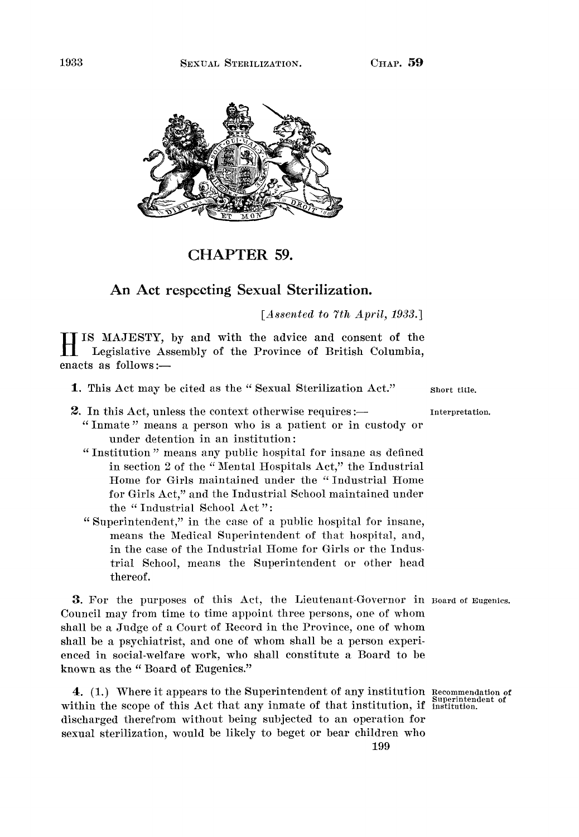



CHAPTER 59.

## An Act respecting Sexual Sterilization.

*[Assented to 7th April, 1933.]* 

 $\mathbf{H}$ IS MAJESTY, by and with the advice and consent of the Legislative Assembly of the Province of British Columbia, enacts as follows:—

- 1. This Act may be cited as the "Sexual Sterilization Act." short title.
- 2. In this Act, unless the context otherwise requires :— interpretation.
	- " Inmate " means a person who is a patient or in custody or under detention in an institution:
	- " Institution" means any public hospital for insane as defined in section 2 of the " Mental Hospitals Act," the Industrial Home for Girls maintained under the " Industrial Home for Girls Act," and the Industrial School maintained under the "Industrial School Act":
	- " Superintendent," in the case of a public hospital for insane, means the Medical Superintendent of that hospital, and, in the case of the Industrial Home for Girls or the Industrial School, means the Superintendent or other head thereof.

3. For the purposes of this Act, the Lieutenant-Governor in Board of Eugenics. Council may from time to time appoint three persons, one of whom shall be a Judge of a Court of Record in the Province, one of whom shall be a psychiatrist, and one of whom shall be a person experienced in social-welfare work, who shall constitute a Board to be known as the " Board of Eugenics."

4. (1.) Where it appears to the Superintendent of any institution Recommendation of within the scope of this Act that any inmate of that institution, if institution. discharged therefrom without being subjected to an operation for sexual sterilization, would be likely to beget or bear children who 199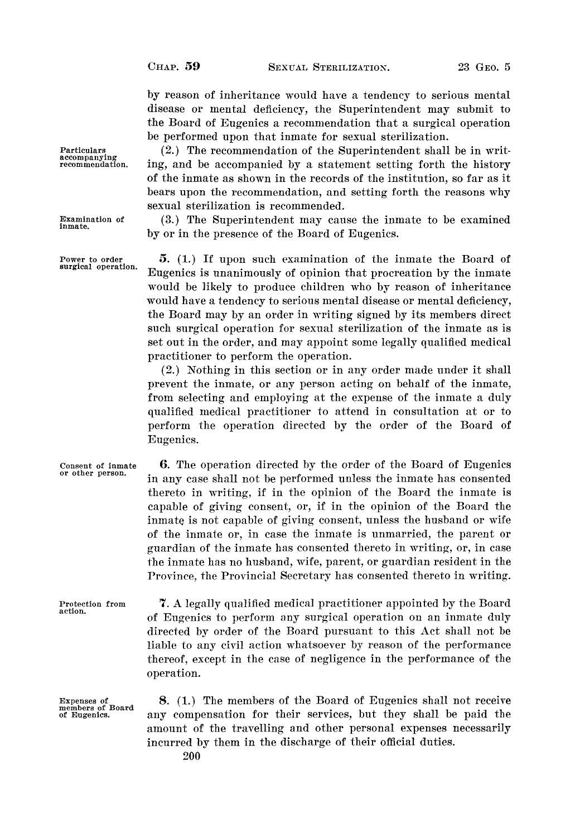by reason of inheritance would have a tendency to serious mental disease or mental deficiency, the Superintendent may submit to the Board of Eugenics a recommendation that a surgical operation be performed upon that inmate for sexual sterilization.

(2.) The recommendation of the Superintendent shall be in writing, and be accompanied by a statement setting forth the history of the inmate as shown in the records of the institution, so far as it bears upon the recommendation, and setting forth the reasons why sexual sterilization is recommended.

(3.) The Superintendent may cause the inmate to be examined by or in the presence of the Board of Eugenics.

5. (1.) If upon such examination of the inmate the Board of Eugenics is unanimously of opinion that procreation by the inmate would be likely to produce children who by reason of inheritance would have a tendency to serious mental disease or mental deficiency, the Board may by an order in writing signed by its members direct such surgical operation for sexual sterilization of the inmate as is set out in the order, and may appoint some legally qualified medical practitioner to perform the operation.

(2.) Nothing in this section or in any order made under it shall prevent the inmate, or any person acting on behalf of the inmate, from selecting and employing at the expense of the inmate a duly qualified medical practitioner to attend in consultation at or to perform the operation directed by the order of the Board of Eugenics.

Consent of inmate or other person. 6. The operation directed by the order of the Board of Eugenics in any case shall not be performed unless the inmate has consented thereto in writing, if in the opinion of the Board the inmate is capable of giving consent, or, if in the opinion of the Board the inmate is not capable of giving consent, unless the husband or wife of the inmate or, in case the inmate is unmarried, the parent or guardian of the inmate has consented thereto in writing, or, in case the inmate has no husband, wife, parent, or guardian resident in the Province, the Provincial Secretary has consented thereto in writing.

Protection from action. 7. A legally qualified medical practitioner appointed by the Board of Eugenics to perform any surgical operation on an inmate duly directed by order of the Board pursuant to this Act shall not be liable to any civil action whatsoever by reason of the performance thereof, except in the case of negligence in the performance of the operation.

Expenses of members of Board of Eugenics.

8. (1.) The members of the Board of Eugenics shall not receive any compensation for their services, but they shall be paid the amount of the travelling and other personal expenses necessarily incurred by them in the discharge of their official duties.

Particulars accompanying recommendation.

Examination of inmate.

Power to order surgical operation.